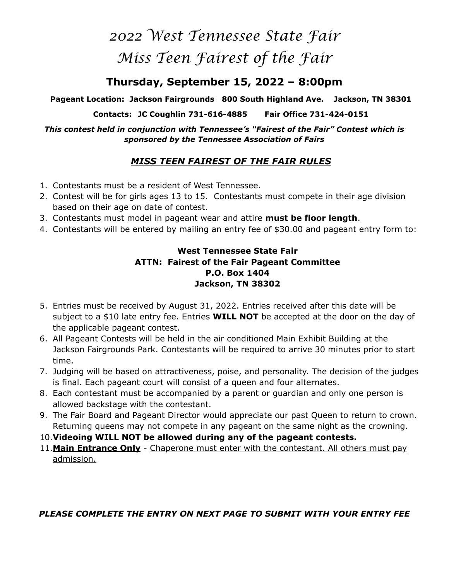# *2022 West Tennessee State Fair Miss Teen Fairest of the Fair*

## **Thursday, September 15, 2022 – 8:00pm**

**Pageant Location: Jackson Fairgrounds 800 South Highland Ave. Jackson, TN 38301** 

**Contacts: JC Coughlin 731-616-4885 Fair Office 731-424-0151** 

*This contest held in conjunction with Tennessee's "Fairest of the Fair" Contest which is sponsored by the Tennessee Association of Fairs* 

### *MISS TEEN FAIREST OF THE FAIR RULES*

- 1. Contestants must be a resident of West Tennessee.
- 2. Contest will be for girls ages 13 to 15. Contestants must compete in their age division based on their age on date of contest.
- 3. Contestants must model in pageant wear and attire **must be floor length**.
- 4. Contestants will be entered by mailing an entry fee of \$30.00 and pageant entry form to:

#### **West Tennessee State Fair ATTN: Fairest of the Fair Pageant Committee P.O. Box 1404 Jackson, TN 38302**

- 5. Entries must be received by August 31, 2022. Entries received after this date will be subject to a \$10 late entry fee. Entries **WILL NOT** be accepted at the door on the day of the applicable pageant contest.
- 6. All Pageant Contests will be held in the air conditioned Main Exhibit Building at the Jackson Fairgrounds Park. Contestants will be required to arrive 30 minutes prior to start time.
- 7. Judging will be based on attractiveness, poise, and personality. The decision of the judges is final. Each pageant court will consist of a queen and four alternates.
- 8. Each contestant must be accompanied by a parent or guardian and only one person is allowed backstage with the contestant.
- 9. The Fair Board and Pageant Director would appreciate our past Queen to return to crown. Returning queens may not compete in any pageant on the same night as the crowning.
- 10.**Videoing WILL NOT be allowed during any of the pageant contests.**
- 11.**Main Entrance Only** Chaperone must enter with the contestant. All others must pay admission.

#### *PLEASE COMPLETE THE ENTRY ON NEXT PAGE TO SUBMIT WITH YOUR ENTRY FEE*